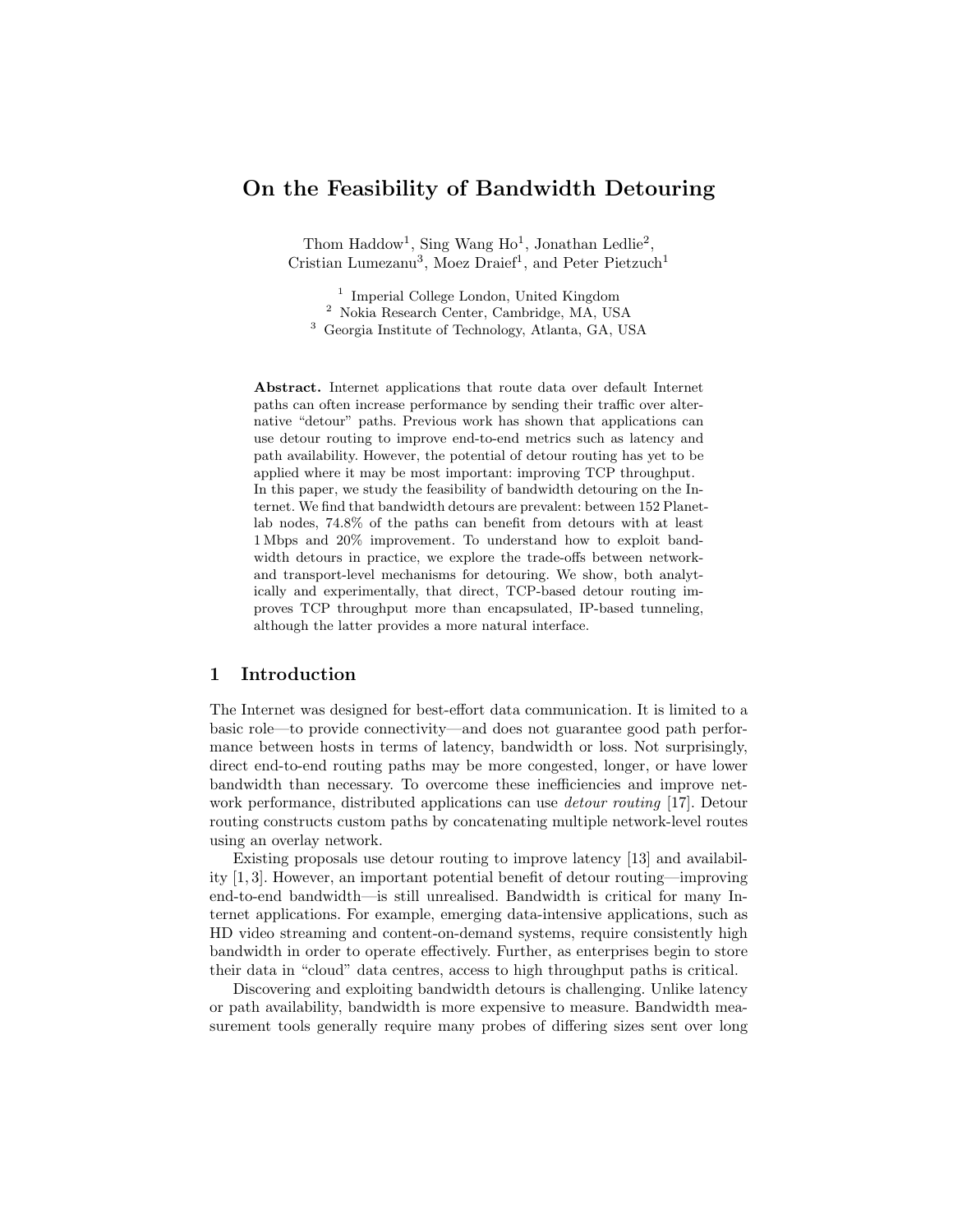# On the Feasibility of Bandwidth Detouring

Thom Haddow<sup>1</sup>, Sing Wang  $Ho<sup>1</sup>$ , Jonathan Ledlie<sup>2</sup>, Cristian Lumezanu<sup>3</sup>, Moez Draief<sup>1</sup>, and Peter Pietzuch<sup>1</sup>

<sup>1</sup> Imperial College London, United Kingdom <sup>2</sup> Nokia Research Center, Cambridge, MA, USA <sup>3</sup> Georgia Institute of Technology, Atlanta, GA, USA

Abstract. Internet applications that route data over default Internet paths can often increase performance by sending their traffic over alternative "detour" paths. Previous work has shown that applications can use detour routing to improve end-to-end metrics such as latency and path availability. However, the potential of detour routing has yet to be applied where it may be most important: improving TCP throughput. In this paper, we study the feasibility of bandwidth detouring on the Internet. We find that bandwidth detours are prevalent: between 152 Planetlab nodes, 74.8% of the paths can benefit from detours with at least 1 Mbps and 20% improvement. To understand how to exploit bandwidth detours in practice, we explore the trade-offs between networkand transport-level mechanisms for detouring. We show, both analytically and experimentally, that direct, TCP-based detour routing improves TCP throughput more than encapsulated, IP-based tunneling, although the latter provides a more natural interface.

## 1 Introduction

The Internet was designed for best-effort data communication. It is limited to a basic role—to provide connectivity—and does not guarantee good path performance between hosts in terms of latency, bandwidth or loss. Not surprisingly, direct end-to-end routing paths may be more congested, longer, or have lower bandwidth than necessary. To overcome these inefficiencies and improve network performance, distributed applications can use *detour routing* [17]. Detour routing constructs custom paths by concatenating multiple network-level routes using an overlay network.

Existing proposals use detour routing to improve latency [13] and availability [1, 3]. However, an important potential benefit of detour routing—improving end-to-end bandwidth—is still unrealised. Bandwidth is critical for many Internet applications. For example, emerging data-intensive applications, such as HD video streaming and content-on-demand systems, require consistently high bandwidth in order to operate effectively. Further, as enterprises begin to store their data in "cloud" data centres, access to high throughput paths is critical.

Discovering and exploiting bandwidth detours is challenging. Unlike latency or path availability, bandwidth is more expensive to measure. Bandwidth measurement tools generally require many probes of differing sizes sent over long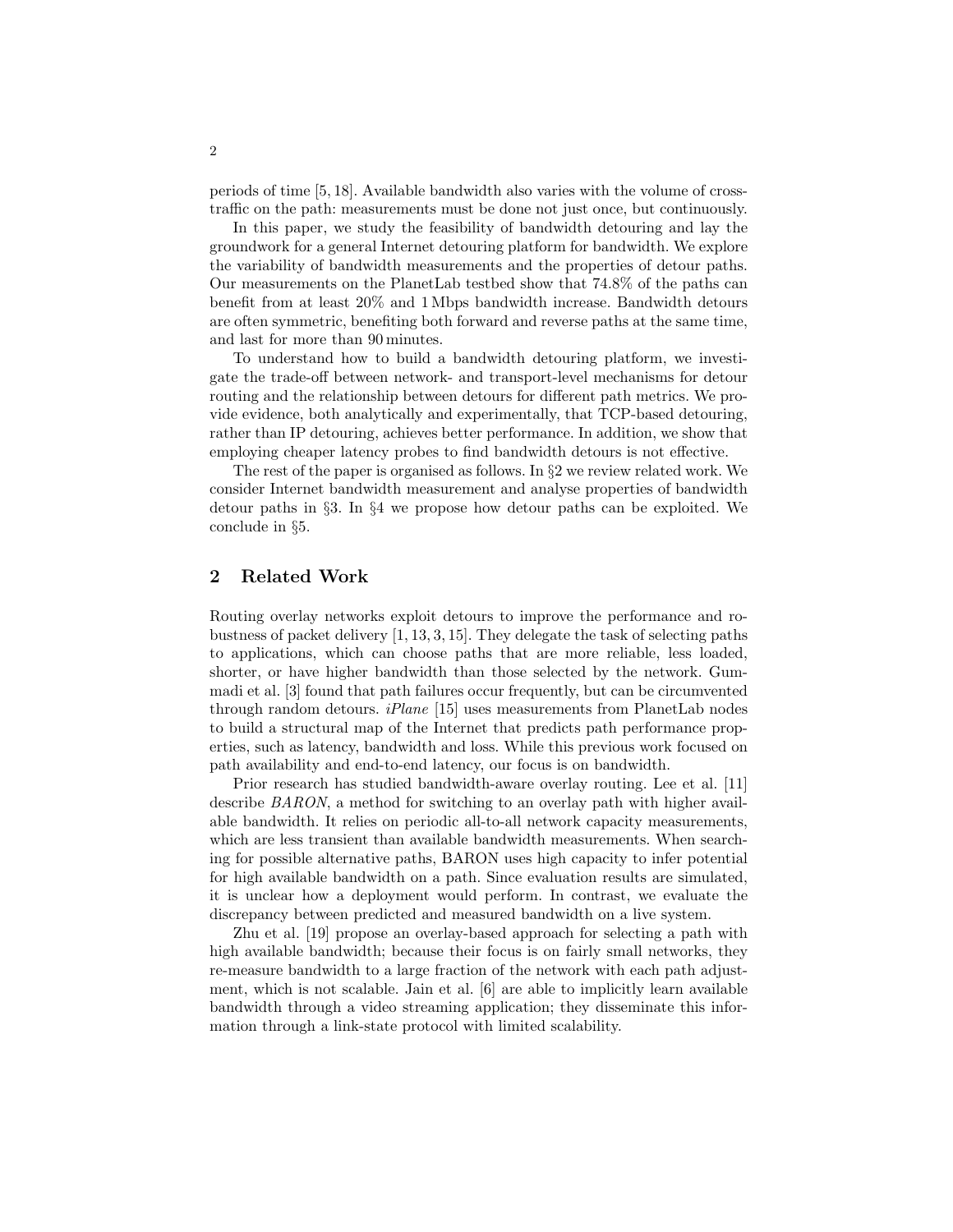periods of time [5, 18]. Available bandwidth also varies with the volume of crosstraffic on the path: measurements must be done not just once, but continuously.

In this paper, we study the feasibility of bandwidth detouring and lay the groundwork for a general Internet detouring platform for bandwidth. We explore the variability of bandwidth measurements and the properties of detour paths. Our measurements on the PlanetLab testbed show that 74.8% of the paths can benefit from at least 20% and 1 Mbps bandwidth increase. Bandwidth detours are often symmetric, benefiting both forward and reverse paths at the same time, and last for more than 90 minutes.

To understand how to build a bandwidth detouring platform, we investigate the trade-off between network- and transport-level mechanisms for detour routing and the relationship between detours for different path metrics. We provide evidence, both analytically and experimentally, that TCP-based detouring, rather than IP detouring, achieves better performance. In addition, we show that employing cheaper latency probes to find bandwidth detours is not effective.

The rest of the paper is organised as follows. In §2 we review related work. We consider Internet bandwidth measurement and analyse properties of bandwidth detour paths in §3. In §4 we propose how detour paths can be exploited. We conclude in §5.

# 2 Related Work

Routing overlay networks exploit detours to improve the performance and robustness of packet delivery [1, 13, 3, 15]. They delegate the task of selecting paths to applications, which can choose paths that are more reliable, less loaded, shorter, or have higher bandwidth than those selected by the network. Gummadi et al. [3] found that path failures occur frequently, but can be circumvented through random detours. iPlane [15] uses measurements from PlanetLab nodes to build a structural map of the Internet that predicts path performance properties, such as latency, bandwidth and loss. While this previous work focused on path availability and end-to-end latency, our focus is on bandwidth.

Prior research has studied bandwidth-aware overlay routing. Lee et al. [11] describe BARON, a method for switching to an overlay path with higher available bandwidth. It relies on periodic all-to-all network capacity measurements, which are less transient than available bandwidth measurements. When searching for possible alternative paths, BARON uses high capacity to infer potential for high available bandwidth on a path. Since evaluation results are simulated, it is unclear how a deployment would perform. In contrast, we evaluate the discrepancy between predicted and measured bandwidth on a live system.

Zhu et al. [19] propose an overlay-based approach for selecting a path with high available bandwidth; because their focus is on fairly small networks, they re-measure bandwidth to a large fraction of the network with each path adjustment, which is not scalable. Jain et al. [6] are able to implicitly learn available bandwidth through a video streaming application; they disseminate this information through a link-state protocol with limited scalability.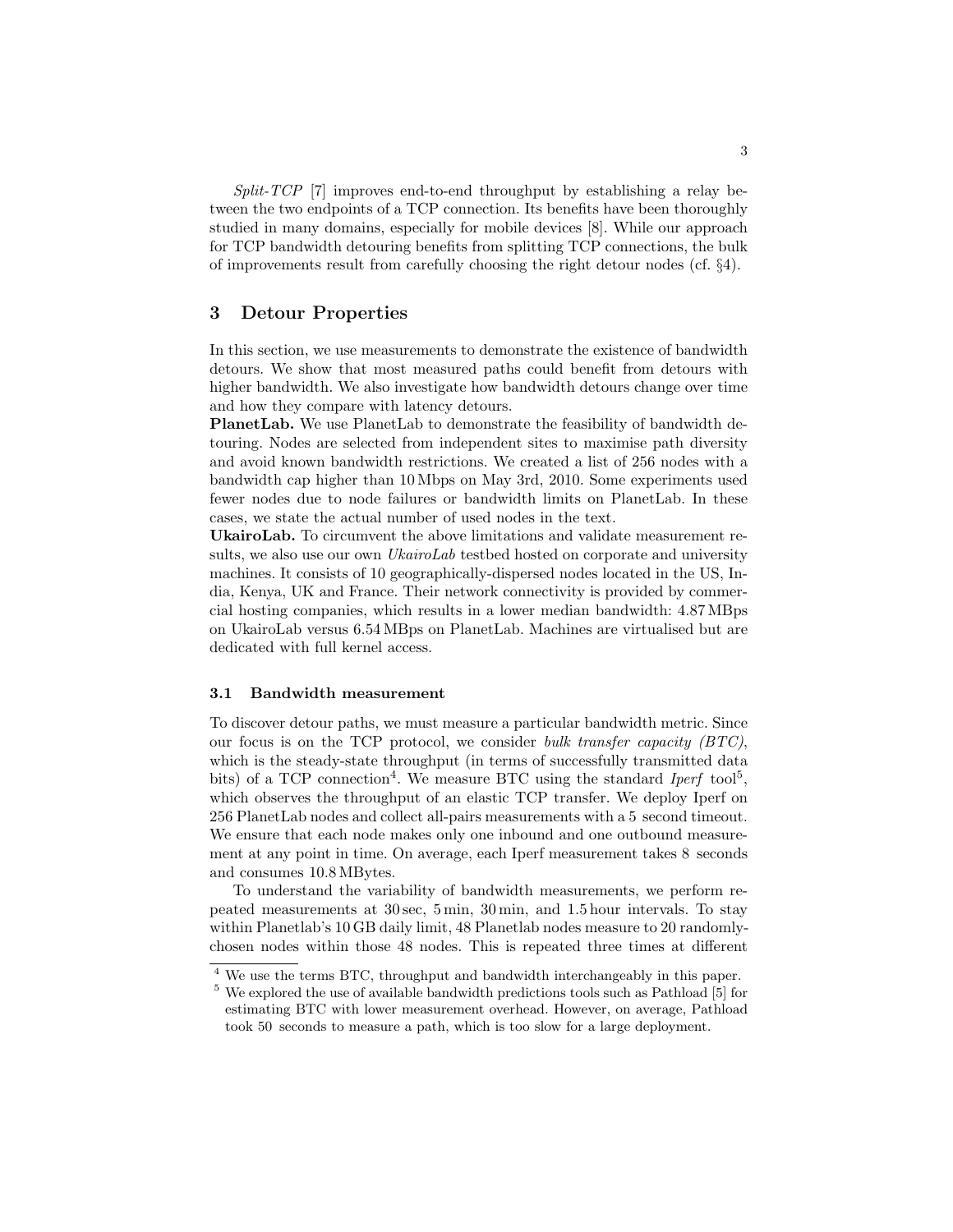$Split-TCP$  [7] improves end-to-end throughput by establishing a relay between the two endpoints of a TCP connection. Its benefits have been thoroughly studied in many domains, especially for mobile devices [8]. While our approach for TCP bandwidth detouring benefits from splitting TCP connections, the bulk of improvements result from carefully choosing the right detour nodes (cf. §4).

## 3 Detour Properties

In this section, we use measurements to demonstrate the existence of bandwidth detours. We show that most measured paths could benefit from detours with higher bandwidth. We also investigate how bandwidth detours change over time and how they compare with latency detours.

PlanetLab. We use PlanetLab to demonstrate the feasibility of bandwidth detouring. Nodes are selected from independent sites to maximise path diversity and avoid known bandwidth restrictions. We created a list of 256 nodes with a bandwidth cap higher than 10 Mbps on May 3rd, 2010. Some experiments used fewer nodes due to node failures or bandwidth limits on PlanetLab. In these cases, we state the actual number of used nodes in the text.

UkairoLab. To circumvent the above limitations and validate measurement results, we also use our own *UkairoLab* testbed hosted on corporate and university machines. It consists of 10 geographically-dispersed nodes located in the US, India, Kenya, UK and France. Their network connectivity is provided by commercial hosting companies, which results in a lower median bandwidth: 4.87 MBps on UkairoLab versus 6.54 MBps on PlanetLab. Machines are virtualised but are dedicated with full kernel access.

### 3.1 Bandwidth measurement

To discover detour paths, we must measure a particular bandwidth metric. Since our focus is on the TCP protocol, we consider bulk transfer capacity (BTC), which is the steady-state throughput (in terms of successfully transmitted data bits) of a TCP connection<sup>4</sup>. We measure BTC using the standard *Iperf* tool<sup>5</sup>, which observes the throughput of an elastic TCP transfer. We deploy Iperf on 256 PlanetLab nodes and collect all-pairs measurements with a 5 second timeout. We ensure that each node makes only one inbound and one outbound measurement at any point in time. On average, each Iperf measurement takes 8 seconds and consumes 10.8 MBytes.

To understand the variability of bandwidth measurements, we perform repeated measurements at 30 sec, 5 min, 30 min, and 1.5 hour intervals. To stay within Planetlab's 10 GB daily limit, 48 Planetlab nodes measure to 20 randomlychosen nodes within those 48 nodes. This is repeated three times at different

<sup>4</sup> We use the terms BTC, throughput and bandwidth interchangeably in this paper.

<sup>5</sup> We explored the use of available bandwidth predictions tools such as Pathload [5] for estimating BTC with lower measurement overhead. However, on average, Pathload took 50 seconds to measure a path, which is too slow for a large deployment.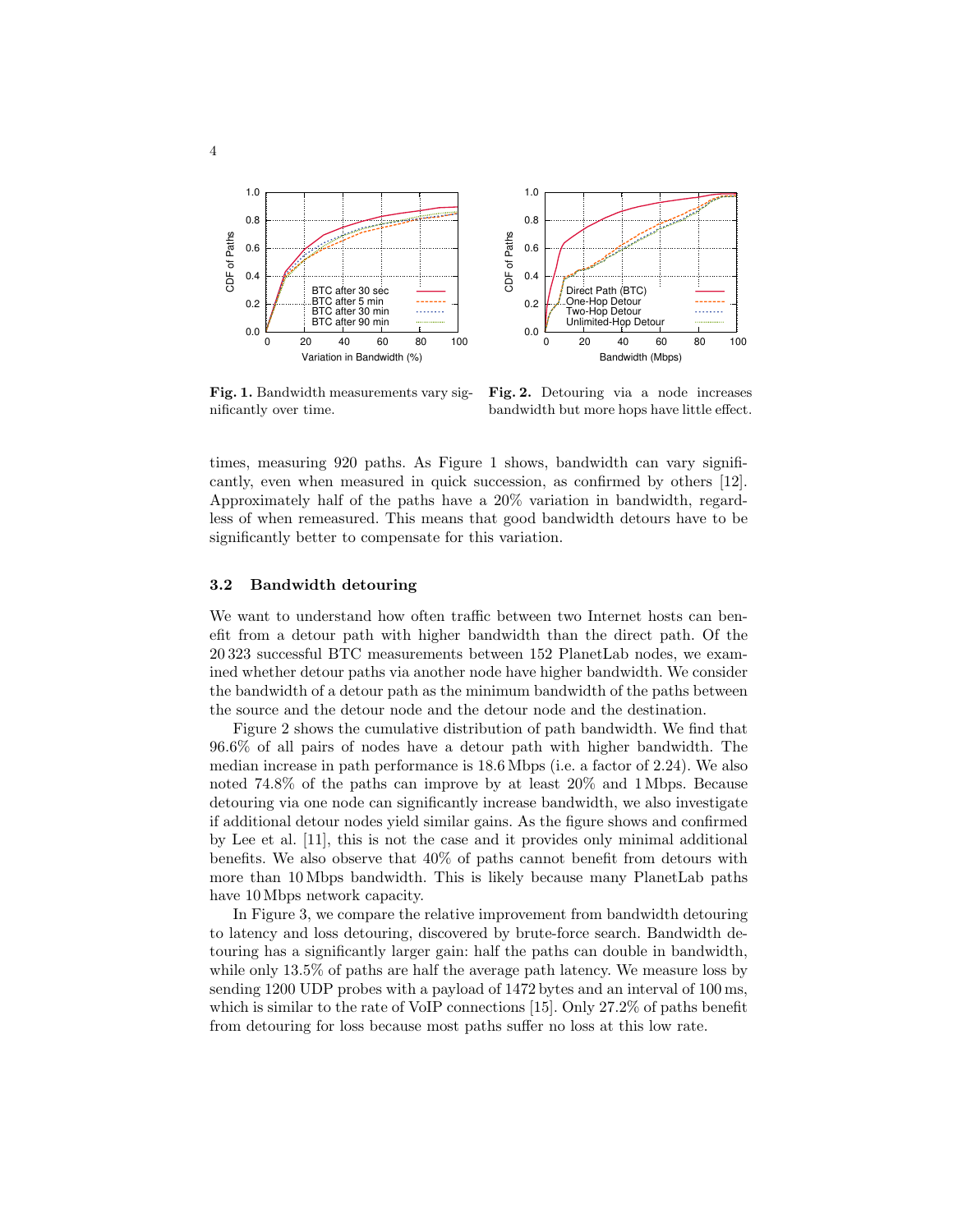

Fig. 1. Bandwidth measurements vary significantly over time.

Fig. 2. Detouring via a node increases bandwidth but more hops have little effect.

times, measuring 920 paths. As Figure 1 shows, bandwidth can vary significantly, even when measured in quick succession, as confirmed by others [12]. Approximately half of the paths have a 20% variation in bandwidth, regardless of when remeasured. This means that good bandwidth detours have to be significantly better to compensate for this variation.

#### 3.2 Bandwidth detouring

We want to understand how often traffic between two Internet hosts can benefit from a detour path with higher bandwidth than the direct path. Of the 20 323 successful BTC measurements between 152 PlanetLab nodes, we examined whether detour paths via another node have higher bandwidth. We consider the bandwidth of a detour path as the minimum bandwidth of the paths between the source and the detour node and the detour node and the destination.

Figure 2 shows the cumulative distribution of path bandwidth. We find that 96.6% of all pairs of nodes have a detour path with higher bandwidth. The median increase in path performance is 18.6 Mbps (i.e. a factor of 2.24). We also noted 74.8% of the paths can improve by at least 20% and 1 Mbps. Because detouring via one node can significantly increase bandwidth, we also investigate if additional detour nodes yield similar gains. As the figure shows and confirmed by Lee et al. [11], this is not the case and it provides only minimal additional benefits. We also observe that 40% of paths cannot benefit from detours with more than 10 Mbps bandwidth. This is likely because many PlanetLab paths have 10 Mbps network capacity.

In Figure 3, we compare the relative improvement from bandwidth detouring to latency and loss detouring, discovered by brute-force search. Bandwidth detouring has a significantly larger gain: half the paths can double in bandwidth, while only 13.5% of paths are half the average path latency. We measure loss by sending 1200 UDP probes with a payload of 1472 bytes and an interval of 100 ms, which is similar to the rate of VoIP connections [15]. Only 27.2% of paths benefit from detouring for loss because most paths suffer no loss at this low rate.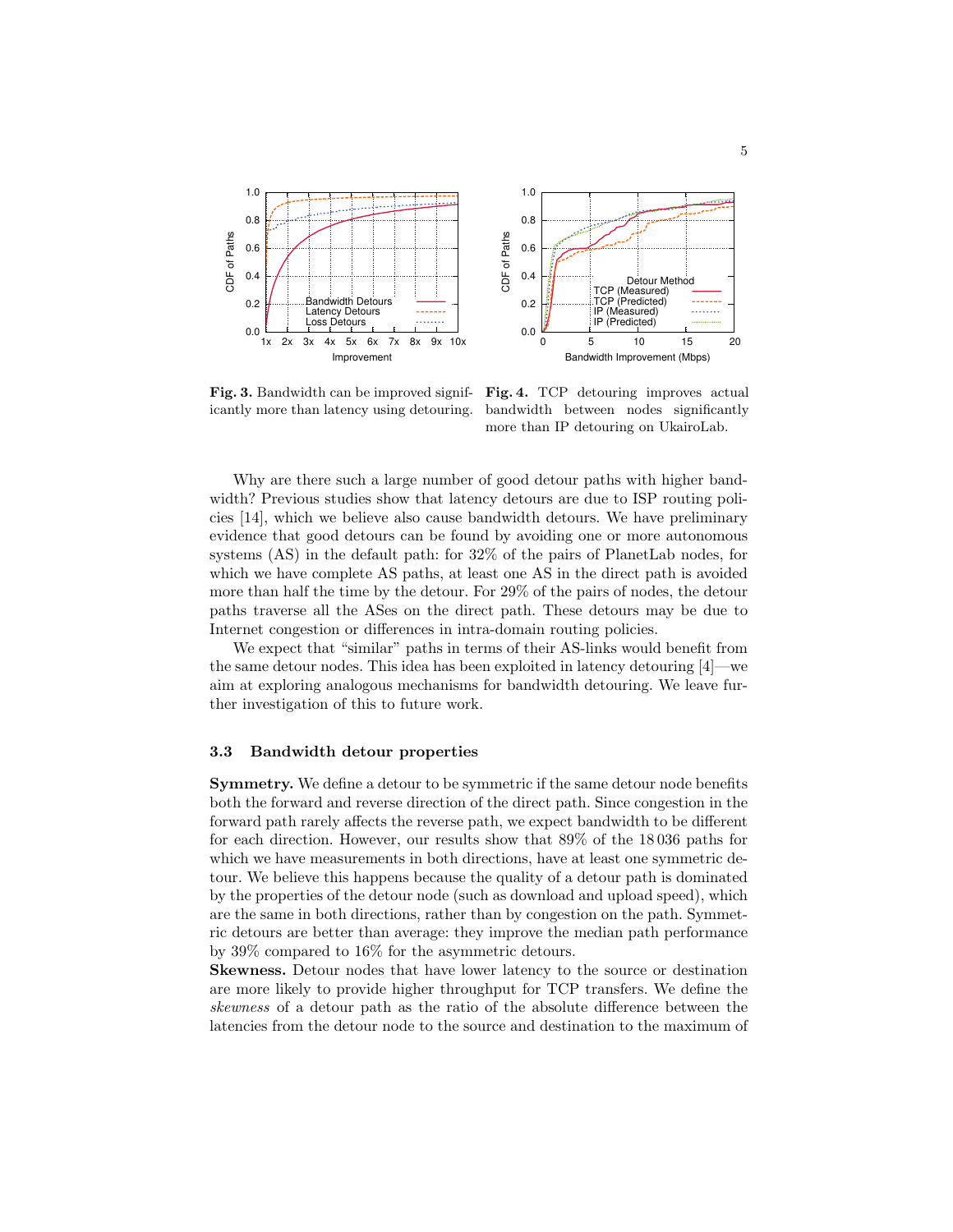

Fig. 3. Bandwidth can be improved significantly more than latency using detouring.

Fig. 4. TCP detouring improves actual bandwidth between nodes significantly more than IP detouring on UkairoLab.

Why are there such a large number of good detour paths with higher bandwidth? Previous studies show that latency detours are due to ISP routing policies [14], which we believe also cause bandwidth detours. We have preliminary evidence that good detours can be found by avoiding one or more autonomous systems (AS) in the default path: for 32% of the pairs of PlanetLab nodes, for which we have complete AS paths, at least one AS in the direct path is avoided more than half the time by the detour. For 29% of the pairs of nodes, the detour paths traverse all the ASes on the direct path. These detours may be due to Internet congestion or differences in intra-domain routing policies.

We expect that "similar" paths in terms of their AS-links would benefit from the same detour nodes. This idea has been exploited in latency detouring [4]—we aim at exploring analogous mechanisms for bandwidth detouring. We leave further investigation of this to future work.

### 3.3 Bandwidth detour properties

Symmetry. We define a detour to be symmetric if the same detour node benefits both the forward and reverse direction of the direct path. Since congestion in the forward path rarely affects the reverse path, we expect bandwidth to be different for each direction. However, our results show that 89% of the 18 036 paths for which we have measurements in both directions, have at least one symmetric detour. We believe this happens because the quality of a detour path is dominated by the properties of the detour node (such as download and upload speed), which are the same in both directions, rather than by congestion on the path. Symmetric detours are better than average: they improve the median path performance by 39% compared to 16% for the asymmetric detours.

Skewness. Detour nodes that have lower latency to the source or destination are more likely to provide higher throughput for TCP transfers. We define the skewness of a detour path as the ratio of the absolute difference between the latencies from the detour node to the source and destination to the maximum of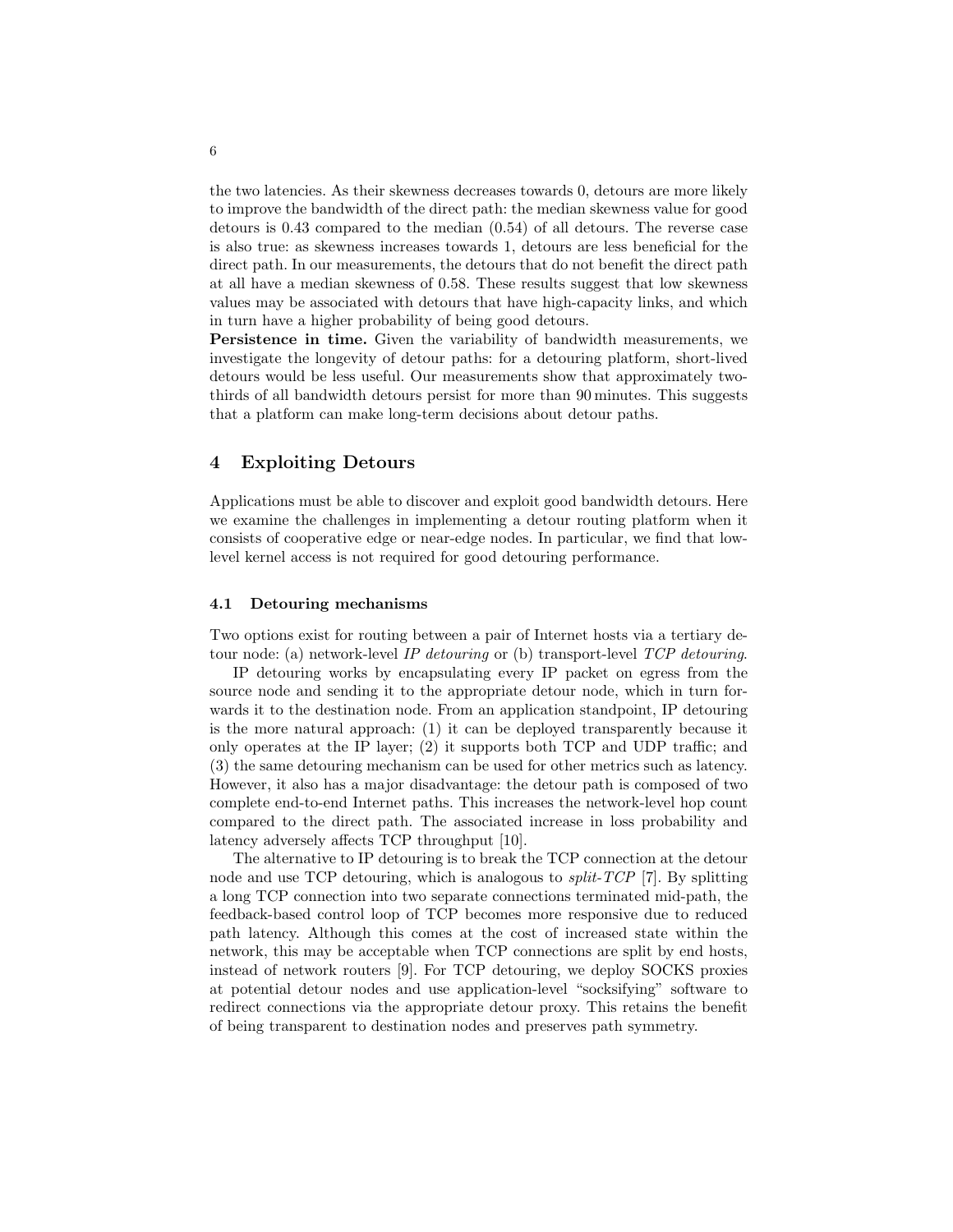the two latencies. As their skewness decreases towards 0, detours are more likely to improve the bandwidth of the direct path: the median skewness value for good detours is 0.43 compared to the median (0.54) of all detours. The reverse case is also true: as skewness increases towards 1, detours are less beneficial for the direct path. In our measurements, the detours that do not benefit the direct path at all have a median skewness of 0.58. These results suggest that low skewness values may be associated with detours that have high-capacity links, and which in turn have a higher probability of being good detours.

Persistence in time. Given the variability of bandwidth measurements, we investigate the longevity of detour paths: for a detouring platform, short-lived detours would be less useful. Our measurements show that approximately twothirds of all bandwidth detours persist for more than 90 minutes. This suggests that a platform can make long-term decisions about detour paths.

### 4 Exploiting Detours

Applications must be able to discover and exploit good bandwidth detours. Here we examine the challenges in implementing a detour routing platform when it consists of cooperative edge or near-edge nodes. In particular, we find that lowlevel kernel access is not required for good detouring performance.

### 4.1 Detouring mechanisms

Two options exist for routing between a pair of Internet hosts via a tertiary detour node: (a) network-level IP detouring or (b) transport-level TCP detouring.

IP detouring works by encapsulating every IP packet on egress from the source node and sending it to the appropriate detour node, which in turn forwards it to the destination node. From an application standpoint, IP detouring is the more natural approach: (1) it can be deployed transparently because it only operates at the IP layer; (2) it supports both TCP and UDP traffic; and (3) the same detouring mechanism can be used for other metrics such as latency. However, it also has a major disadvantage: the detour path is composed of two complete end-to-end Internet paths. This increases the network-level hop count compared to the direct path. The associated increase in loss probability and latency adversely affects TCP throughput [10].

The alternative to IP detouring is to break the TCP connection at the detour node and use TCP detouring, which is analogous to split-TCP [7]. By splitting a long TCP connection into two separate connections terminated mid-path, the feedback-based control loop of TCP becomes more responsive due to reduced path latency. Although this comes at the cost of increased state within the network, this may be acceptable when TCP connections are split by end hosts, instead of network routers [9]. For TCP detouring, we deploy SOCKS proxies at potential detour nodes and use application-level "socksifying" software to redirect connections via the appropriate detour proxy. This retains the benefit of being transparent to destination nodes and preserves path symmetry.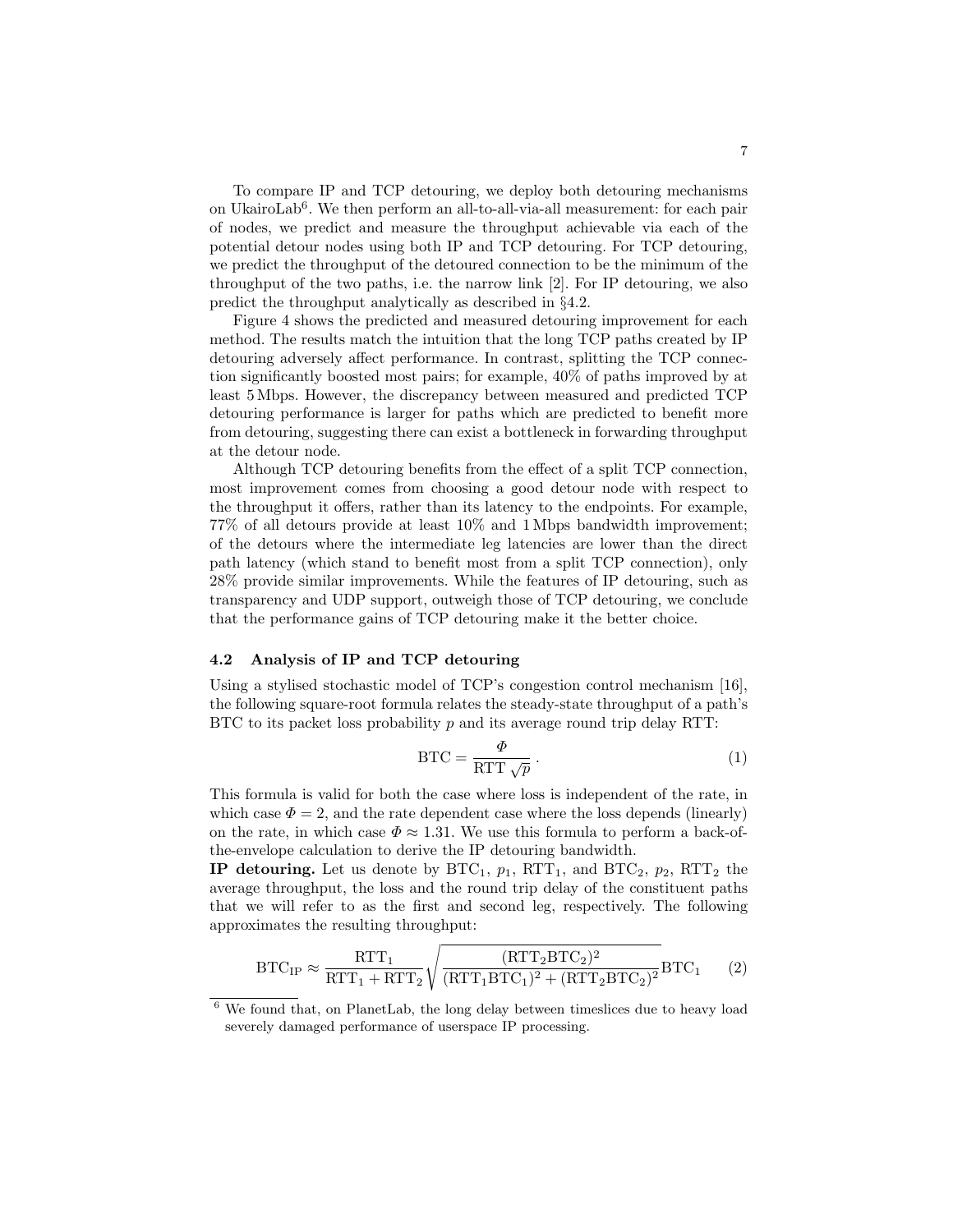To compare IP and TCP detouring, we deploy both detouring mechanisms on UkairoLab<sup>6</sup>. We then perform an all-to-all-via-all measurement: for each pair of nodes, we predict and measure the throughput achievable via each of the potential detour nodes using both IP and TCP detouring. For TCP detouring, we predict the throughput of the detoured connection to be the minimum of the throughput of the two paths, i.e. the narrow link [2]. For IP detouring, we also predict the throughput analytically as described in §4.2.

Figure 4 shows the predicted and measured detouring improvement for each method. The results match the intuition that the long TCP paths created by IP detouring adversely affect performance. In contrast, splitting the TCP connection significantly boosted most pairs; for example, 40% of paths improved by at least 5 Mbps. However, the discrepancy between measured and predicted TCP detouring performance is larger for paths which are predicted to benefit more from detouring, suggesting there can exist a bottleneck in forwarding throughput at the detour node.

Although TCP detouring benefits from the effect of a split TCP connection, most improvement comes from choosing a good detour node with respect to the throughput it offers, rather than its latency to the endpoints. For example, 77% of all detours provide at least 10% and 1 Mbps bandwidth improvement; of the detours where the intermediate leg latencies are lower than the direct path latency (which stand to benefit most from a split TCP connection), only 28% provide similar improvements. While the features of IP detouring, such as transparency and UDP support, outweigh those of TCP detouring, we conclude that the performance gains of TCP detouring make it the better choice.

#### 4.2 Analysis of IP and TCP detouring

Using a stylised stochastic model of TCP's congestion control mechanism [16], the following square-root formula relates the steady-state throughput of a path's  $BTC$  to its packet loss probability p and its average round trip delay RTT:

$$
BTC = \frac{\Phi}{RTT\sqrt{p}}.
$$
 (1)

This formula is valid for both the case where loss is independent of the rate, in which case  $\Phi = 2$ , and the rate dependent case where the loss depends (linearly) on the rate, in which case  $\Phi \approx 1.31$ . We use this formula to perform a back-ofthe-envelope calculation to derive the IP detouring bandwidth.

**IP detouring.** Let us denote by  $\text{BTC}_1$ ,  $p_1$ ,  $\text{RTT}_1$ , and  $\text{BTC}_2$ ,  $p_2$ ,  $\text{RTT}_2$  the average throughput, the loss and the round trip delay of the constituent paths that we will refer to as the first and second leg, respectively. The following approximates the resulting throughput:

$$
BTC_{IP} \approx \frac{RTT_1}{RTT_1 + RTT_2} \sqrt{\frac{(RTT_2BTC_2)^2}{(RTT_1BTC_1)^2 + (RTT_2BTC_2)^2}} BTC_1 \tag{2}
$$

<sup>6</sup> We found that, on PlanetLab, the long delay between timeslices due to heavy load severely damaged performance of userspace IP processing.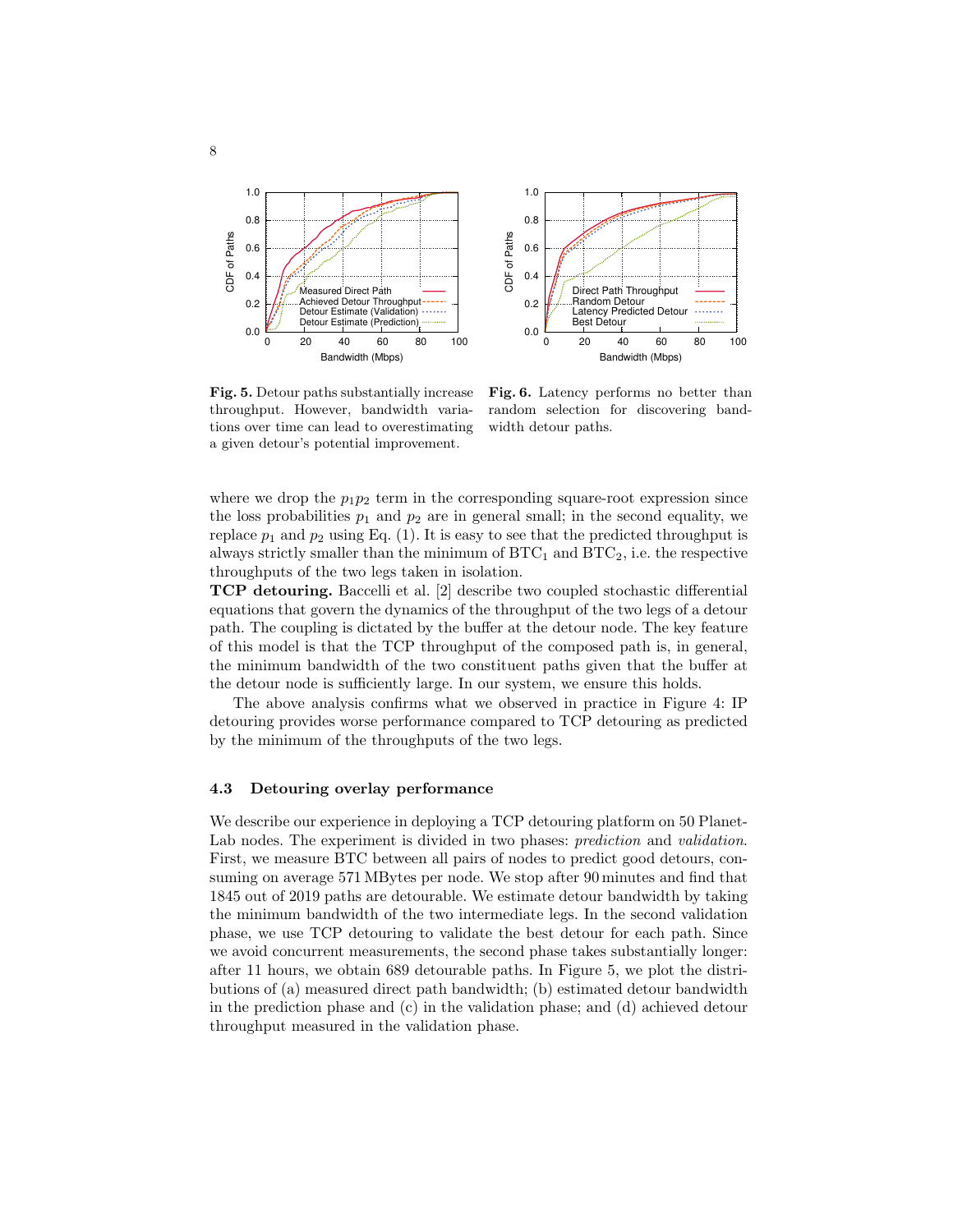



Fig. 5. Detour paths substantially increase throughput. However, bandwidth variations over time can lead to overestimating a given detour's potential improvement.

Fig. 6. Latency performs no better than random selection for discovering bandwidth detour paths.

where we drop the  $p_1p_2$  term in the corresponding square-root expression since the loss probabilities  $p_1$  and  $p_2$  are in general small; in the second equality, we replace  $p_1$  and  $p_2$  using Eq. (1). It is easy to see that the predicted throughput is always strictly smaller than the minimum of  $\operatorname{BTC}_1$  and  $\operatorname{BTC}_2$ , i.e. the respective throughputs of the two legs taken in isolation.

TCP detouring. Baccelli et al. [2] describe two coupled stochastic differential equations that govern the dynamics of the throughput of the two legs of a detour path. The coupling is dictated by the buffer at the detour node. The key feature of this model is that the TCP throughput of the composed path is, in general, the minimum bandwidth of the two constituent paths given that the buffer at the detour node is sufficiently large. In our system, we ensure this holds.

The above analysis confirms what we observed in practice in Figure 4: IP detouring provides worse performance compared to TCP detouring as predicted by the minimum of the throughputs of the two legs.

### 4.3 Detouring overlay performance

We describe our experience in deploying a TCP detouring platform on 50 Planet-Lab nodes. The experiment is divided in two phases: *prediction* and *validation*. First, we measure BTC between all pairs of nodes to predict good detours, consuming on average 571 MBytes per node. We stop after 90 minutes and find that 1845 out of 2019 paths are detourable. We estimate detour bandwidth by taking the minimum bandwidth of the two intermediate legs. In the second validation phase, we use TCP detouring to validate the best detour for each path. Since we avoid concurrent measurements, the second phase takes substantially longer: after 11 hours, we obtain 689 detourable paths. In Figure 5, we plot the distributions of (a) measured direct path bandwidth; (b) estimated detour bandwidth in the prediction phase and (c) in the validation phase; and (d) achieved detour throughput measured in the validation phase.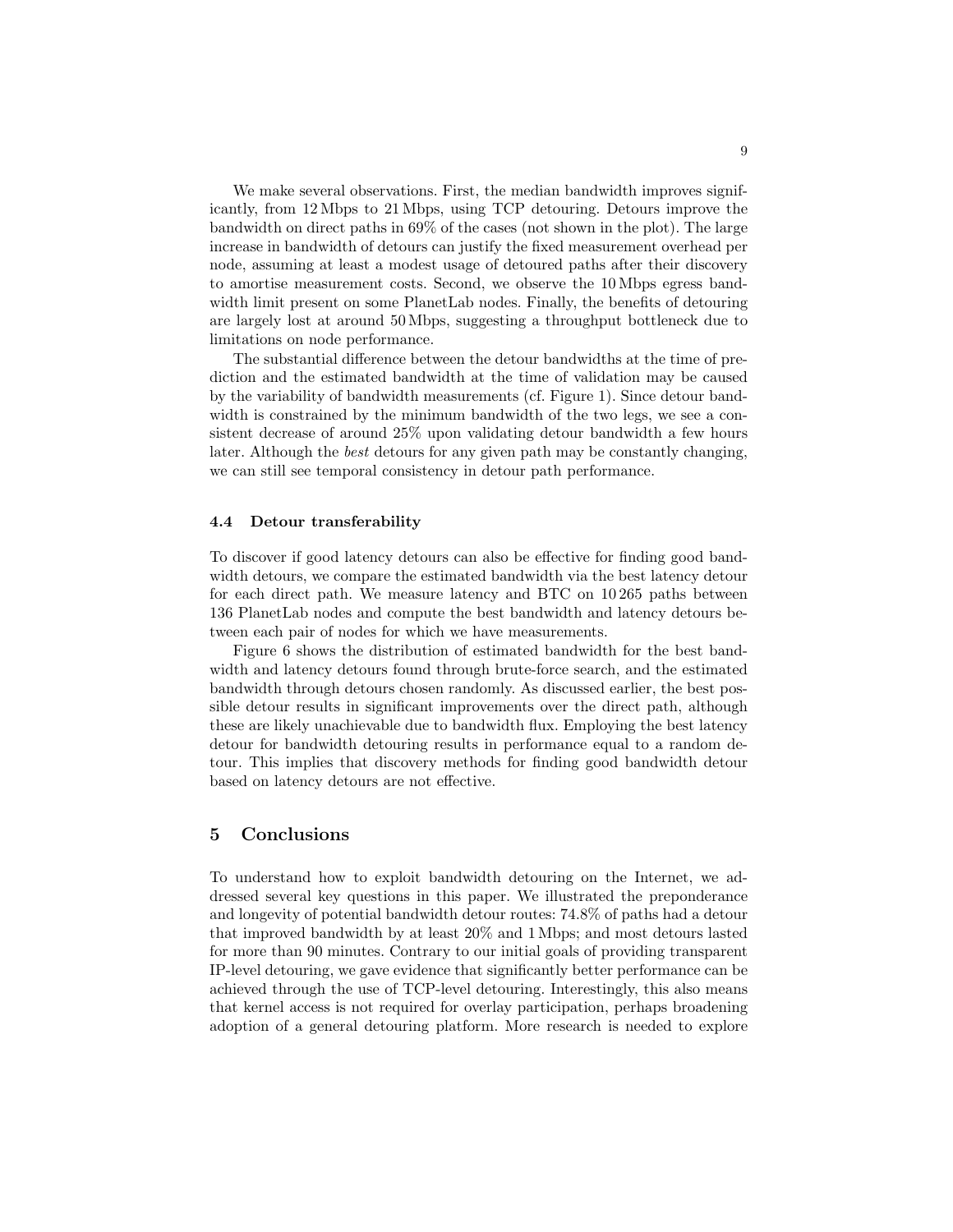We make several observations. First, the median bandwidth improves significantly, from 12 Mbps to 21 Mbps, using TCP detouring. Detours improve the bandwidth on direct paths in 69% of the cases (not shown in the plot). The large increase in bandwidth of detours can justify the fixed measurement overhead per node, assuming at least a modest usage of detoured paths after their discovery to amortise measurement costs. Second, we observe the 10 Mbps egress bandwidth limit present on some PlanetLab nodes. Finally, the benefits of detouring are largely lost at around 50 Mbps, suggesting a throughput bottleneck due to limitations on node performance.

The substantial difference between the detour bandwidths at the time of prediction and the estimated bandwidth at the time of validation may be caused by the variability of bandwidth measurements (cf. Figure 1). Since detour bandwidth is constrained by the minimum bandwidth of the two legs, we see a consistent decrease of around 25% upon validating detour bandwidth a few hours later. Although the best detours for any given path may be constantly changing, we can still see temporal consistency in detour path performance.

#### 4.4 Detour transferability

To discover if good latency detours can also be effective for finding good bandwidth detours, we compare the estimated bandwidth via the best latency detour for each direct path. We measure latency and BTC on 10 265 paths between 136 PlanetLab nodes and compute the best bandwidth and latency detours between each pair of nodes for which we have measurements.

Figure 6 shows the distribution of estimated bandwidth for the best bandwidth and latency detours found through brute-force search, and the estimated bandwidth through detours chosen randomly. As discussed earlier, the best possible detour results in significant improvements over the direct path, although these are likely unachievable due to bandwidth flux. Employing the best latency detour for bandwidth detouring results in performance equal to a random detour. This implies that discovery methods for finding good bandwidth detour based on latency detours are not effective.

# 5 Conclusions

To understand how to exploit bandwidth detouring on the Internet, we addressed several key questions in this paper. We illustrated the preponderance and longevity of potential bandwidth detour routes: 74.8% of paths had a detour that improved bandwidth by at least 20% and 1 Mbps; and most detours lasted for more than 90 minutes. Contrary to our initial goals of providing transparent IP-level detouring, we gave evidence that significantly better performance can be achieved through the use of TCP-level detouring. Interestingly, this also means that kernel access is not required for overlay participation, perhaps broadening adoption of a general detouring platform. More research is needed to explore